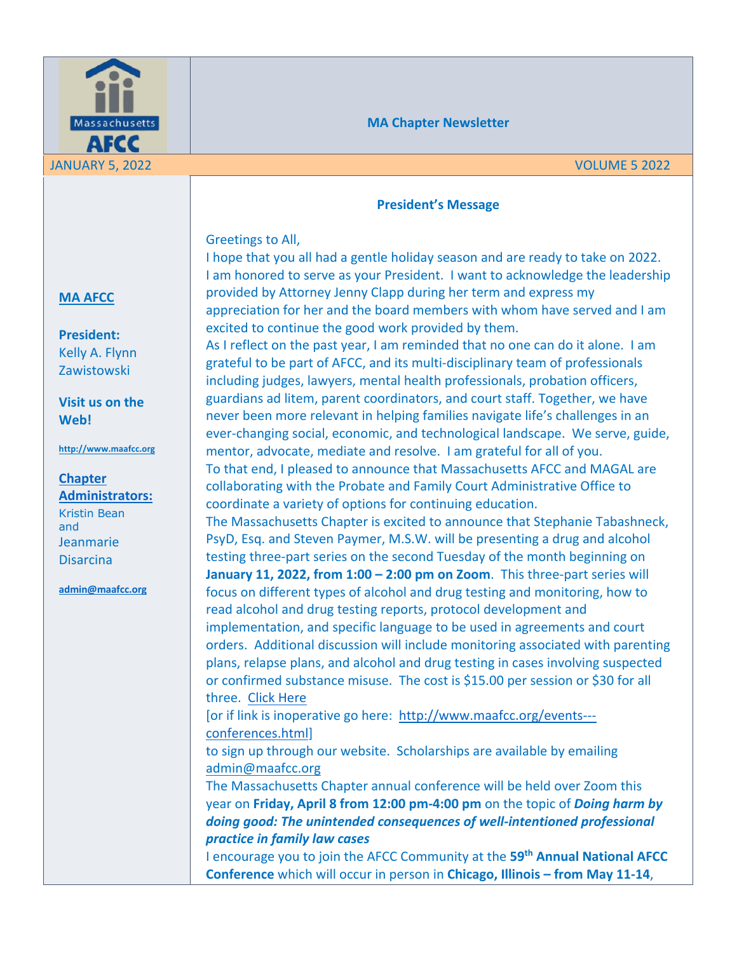

### **MA Chapter Newsletter**

#### **President's Message**

#### Greetings to All,

I hope that you all had a gentle holiday season and are ready to take on 2022. I am honored to serve as your President. I want to acknowledge the leadership provided by Attorney Jenny Clapp during her term and express my appreciation for her and the board members with whom have served and I am excited to continue the good work provided by them.

As I reflect on the past year, I am reminded that no one can do it alone. I am grateful to be part of AFCC, and its multi-disciplinary team of professionals including judges, lawyers, mental health professionals, probation officers, guardians ad litem, parent coordinators, and court staff. Together, we have never been more relevant in helping families navigate life's challenges in an ever-changing social, economic, and technological landscape. We serve, guide, mentor, advocate, mediate and resolve. I am grateful for all of you. To that end, I pleased to announce that Massachusetts AFCC and MAGAL are collaborating with the Probate and Family Court Administrative Office to coordinate a variety of options for continuing education.

The Massachusetts Chapter is excited to announce that Stephanie Tabashneck, PsyD, Esq. and Steven Paymer, M.S.W. will be presenting a drug and alcohol testing three-part series on the second Tuesday of the month beginning on **January 11, 2022, from 1:00 – 2:00 pm on Zoom**. This three-part series will focus on different types of alcohol and drug testing and monitoring, how to read alcohol and drug testing reports, protocol development and implementation, and specific language to be used in agreements and court orders. Additional discussion will include monitoring associated with parenting plans, relapse plans, and alcohol and drug testing in cases involving suspected or confirmed substance misuse. The cost is \$15.00 per session or \$30 for all three. Click Here

[or if link is inoperative go here: http://www.maafcc.org/events-- conferences.html]

to sign up through our website. Scholarships are available by emailing admin@maafcc.org

The Massachusetts Chapter annual conference will be held over Zoom this year on **Friday, April 8 from 12:00 pm-4:00 pm** on the topic of *Doing harm by doing good: The unintended consequences of well-intentioned professional practice in family law cases*

I encourage you to join the AFCC Community at the **59th Annual National AFCC Conference** which will occur in person in **Chicago, Illinois – from May 11-14**,

## **MA AFCC**

**President:** Kelly A. Flynn Zawistowski

**Visit us on the Web!**

**http://www.maafcc.org**

**Chapter Administrators:** Kristin Bean and Jeanmarie Disarcina

**admin@maafcc.org**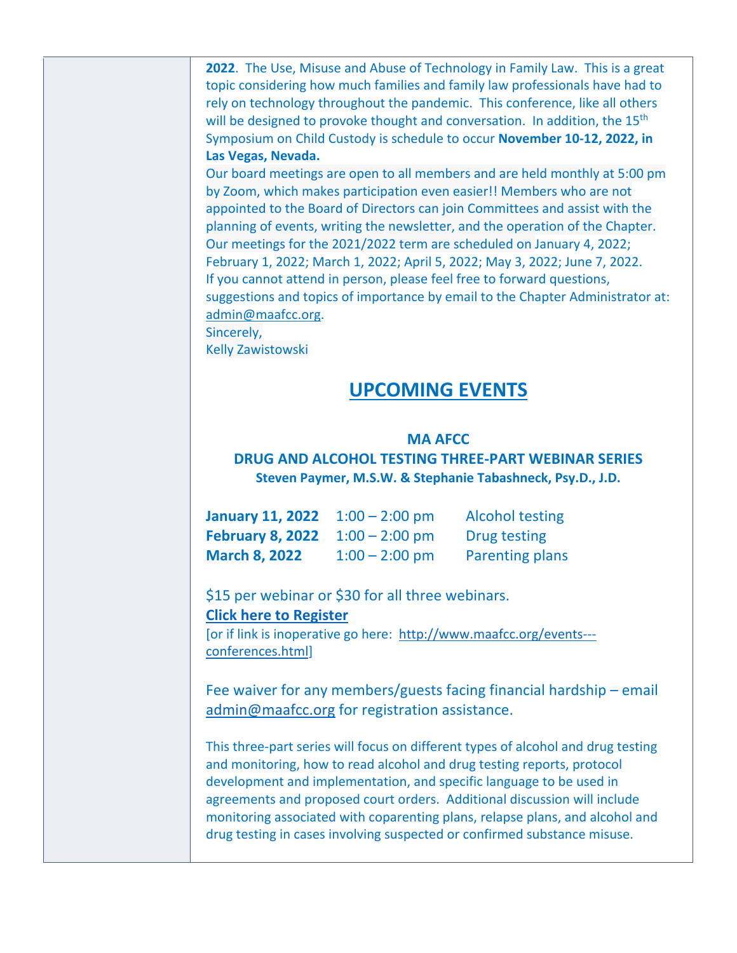**2022**. The Use, Misuse and Abuse of Technology in Family Law. This is a great topic considering how much families and family law professionals have had to rely on technology throughout the pandemic. This conference, like all others will be designed to provoke thought and conversation. In addition, the 15<sup>th</sup> Symposium on Child Custody is schedule to occur **November 10-12, 2022, in Las Vegas, Nevada.** 

Our board meetings are open to all members and are held monthly at 5:00 pm by Zoom, which makes participation even easier!! Members who are not appointed to the Board of Directors can join Committees and assist with the planning of events, writing the newsletter, and the operation of the Chapter. Our meetings for the 2021/2022 term are scheduled on January 4, 2022; February 1, 2022; March 1, 2022; April 5, 2022; May 3, 2022; June 7, 2022. If you cannot attend in person, please feel free to forward questions, suggestions and topics of importance by email to the Chapter Administrator at: admin@maafcc.org. Sincerely,

Kelly Zawistowski

## **UPCOMING EVENTS**

## **MA AFCC**

## **DRUG AND ALCOHOL TESTING THREE-PART WEBINAR SERIES Steven Paymer, M.S.W. & Stephanie Tabashneck, Psy.D., J.D.**

| <b>January 11, 2022</b> $1:00 - 2:00$ pm |                  | <b>Alcohol testing</b> |
|------------------------------------------|------------------|------------------------|
| <b>February 8, 2022</b> $1:00 - 2:00$ pm |                  | Drug testing           |
| <b>March 8, 2022</b>                     | $1:00 - 2:00$ pm | Parenting plans        |

\$15 per webinar or \$30 for all three webinars. **Click here to Register**

[or if link is inoperative go here: http://www.maafcc.org/events-- conferences.html]

Fee waiver for any members/guests facing financial hardship – email admin@maafcc.org for registration assistance.

This three-part series will focus on different types of alcohol and drug testing and monitoring, how to read alcohol and drug testing reports, protocol development and implementation, and specific language to be used in agreements and proposed court orders. Additional discussion will include monitoring associated with coparenting plans, relapse plans, and alcohol and drug testing in cases involving suspected or confirmed substance misuse.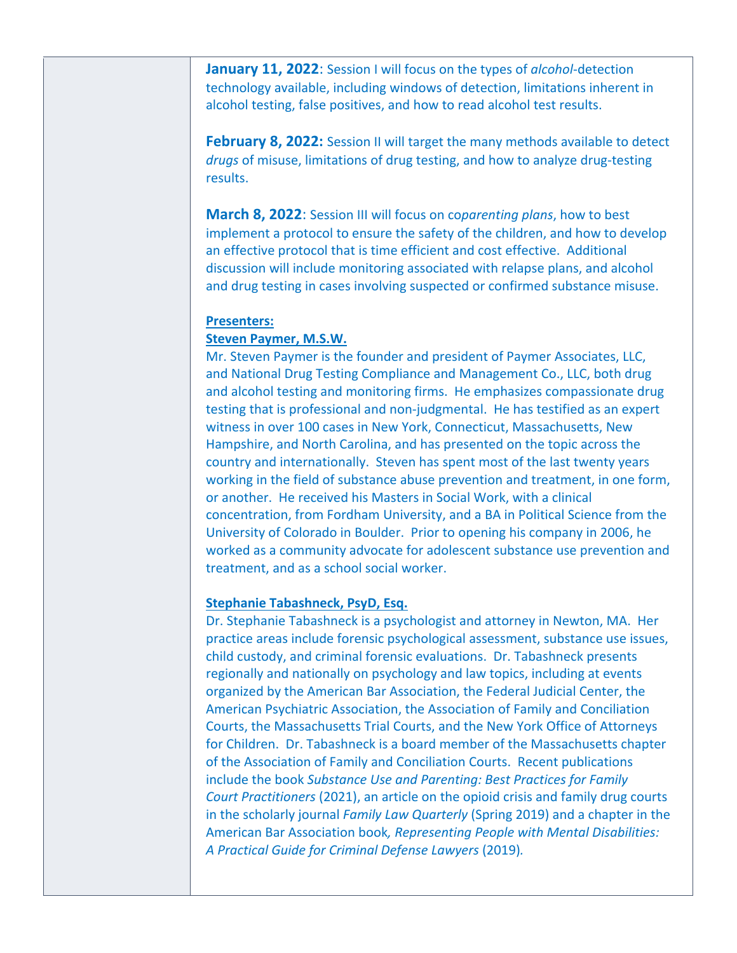**January 11, 2022**: Session I will focus on the types of *alcohol*-detection technology available, including windows of detection, limitations inherent in alcohol testing, false positives, and how to read alcohol test results.

**February 8, 2022:** Session II will target the many methods available to detect *drugs* of misuse, limitations of drug testing, and how to analyze drug-testing results.

**March 8, 2022**: Session III will focus on co*parenting plans*, how to best implement a protocol to ensure the safety of the children, and how to develop an effective protocol that is time efficient and cost effective. Additional discussion will include monitoring associated with relapse plans, and alcohol and drug testing in cases involving suspected or confirmed substance misuse.

#### **Presenters:**

#### **Steven Paymer, M.S.W.**

Mr. Steven Paymer is the founder and president of Paymer Associates, LLC, and National Drug Testing Compliance and Management Co., LLC, both drug and alcohol testing and monitoring firms. He emphasizes compassionate drug testing that is professional and non-judgmental. He has testified as an expert witness in over 100 cases in New York, Connecticut, Massachusetts, New Hampshire, and North Carolina, and has presented on the topic across the country and internationally. Steven has spent most of the last twenty years working in the field of substance abuse prevention and treatment, in one form, or another. He received his Masters in Social Work, with a clinical concentration, from Fordham University, and a BA in Political Science from the University of Colorado in Boulder. Prior to opening his company in 2006, he worked as a community advocate for adolescent substance use prevention and treatment, and as a school social worker.

#### **Stephanie Tabashneck, PsyD, Esq.**

Dr. Stephanie Tabashneck is a psychologist and attorney in Newton, MA. Her practice areas include forensic psychological assessment, substance use issues, child custody, and criminal forensic evaluations. Dr. Tabashneck presents regionally and nationally on psychology and law topics, including at events organized by the American Bar Association, the Federal Judicial Center, the American Psychiatric Association, the Association of Family and Conciliation Courts, the Massachusetts Trial Courts, and the New York Office of Attorneys for Children. Dr. Tabashneck is a board member of the Massachusetts chapter of the Association of Family and Conciliation Courts. Recent publications include the book *Substance Use and Parenting: Best Practices for Family Court Practitioners* (2021), an article on the opioid crisis and family drug courts in the scholarly journal *Family Law Quarterly* (Spring 2019) and a chapter in the American Bar Association book*, Representing People with Mental Disabilities: A Practical Guide for Criminal Defense Lawyers* (2019)*.*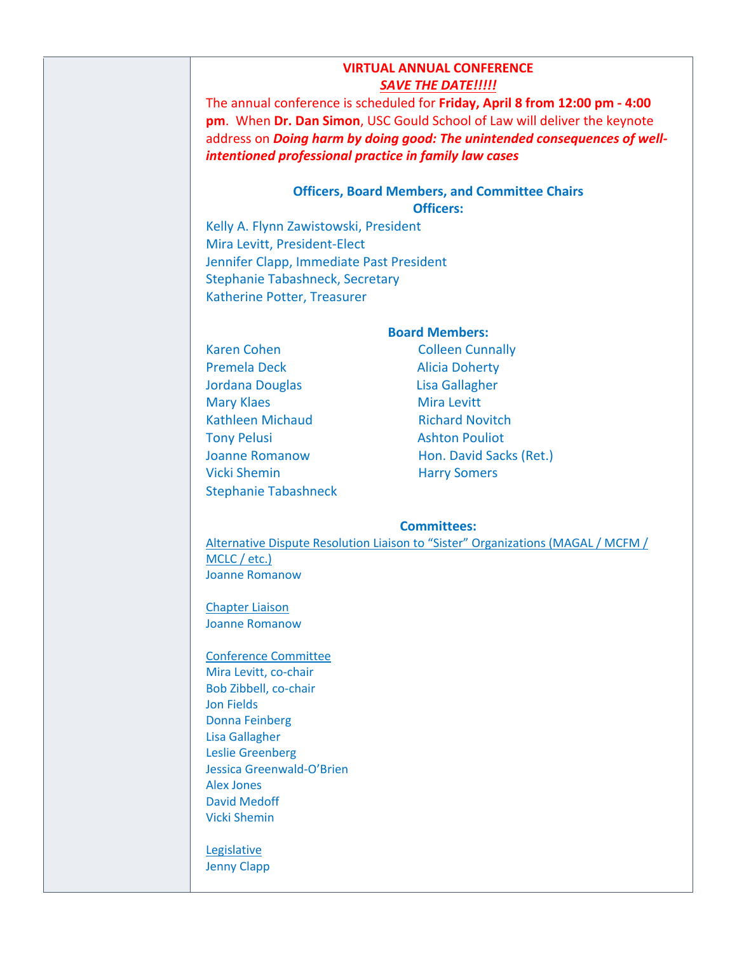|                                                                                                                                                                                                                                                                                               | <b>VIRTUAL ANNUAL CONFERENCE</b>                                                 |  |
|-----------------------------------------------------------------------------------------------------------------------------------------------------------------------------------------------------------------------------------------------------------------------------------------------|----------------------------------------------------------------------------------|--|
|                                                                                                                                                                                                                                                                                               | <b>SAVE THE DATE!!!!!</b>                                                        |  |
| The annual conference is scheduled for Friday, April 8 from 12:00 pm - 4:00<br>pm. When Dr. Dan Simon, USC Gould School of Law will deliver the keynote<br>address on Doing harm by doing good: The unintended consequences of well-<br>intentioned professional practice in family law cases |                                                                                  |  |
|                                                                                                                                                                                                                                                                                               | <b>Officers, Board Members, and Committee Chairs</b><br><b>Officers:</b>         |  |
| Kelly A. Flynn Zawistowski, President                                                                                                                                                                                                                                                         |                                                                                  |  |
| Mira Levitt, President-Elect                                                                                                                                                                                                                                                                  |                                                                                  |  |
| Jennifer Clapp, Immediate Past President                                                                                                                                                                                                                                                      |                                                                                  |  |
| Stephanie Tabashneck, Secretary                                                                                                                                                                                                                                                               |                                                                                  |  |
| Katherine Potter, Treasurer                                                                                                                                                                                                                                                                   |                                                                                  |  |
|                                                                                                                                                                                                                                                                                               | <b>Board Members:</b>                                                            |  |
| Karen Cohen                                                                                                                                                                                                                                                                                   | <b>Colleen Cunnally</b>                                                          |  |
| Premela Deck                                                                                                                                                                                                                                                                                  | <b>Alicia Doherty</b>                                                            |  |
| Jordana Douglas                                                                                                                                                                                                                                                                               | Lisa Gallagher                                                                   |  |
| <b>Mary Klaes</b>                                                                                                                                                                                                                                                                             | <b>Mira Levitt</b>                                                               |  |
| <b>Kathleen Michaud</b>                                                                                                                                                                                                                                                                       | <b>Richard Novitch</b>                                                           |  |
| <b>Tony Pelusi</b>                                                                                                                                                                                                                                                                            | <b>Ashton Pouliot</b>                                                            |  |
| <b>Joanne Romanow</b>                                                                                                                                                                                                                                                                         | Hon. David Sacks (Ret.)                                                          |  |
| <b>Vicki Shemin</b>                                                                                                                                                                                                                                                                           | <b>Harry Somers</b>                                                              |  |
| <b>Stephanie Tabashneck</b>                                                                                                                                                                                                                                                                   |                                                                                  |  |
|                                                                                                                                                                                                                                                                                               | <b>Committees:</b>                                                               |  |
|                                                                                                                                                                                                                                                                                               | Alternative Dispute Resolution Liaison to "Sister" Organizations (MAGAL / MCFM / |  |
| MCLC / etc.)                                                                                                                                                                                                                                                                                  |                                                                                  |  |
| Joanne Romanow                                                                                                                                                                                                                                                                                |                                                                                  |  |
| <b>Chapter Liaison</b>                                                                                                                                                                                                                                                                        |                                                                                  |  |
| <b>Joanne Romanow</b>                                                                                                                                                                                                                                                                         |                                                                                  |  |
| <b>Conference Committee</b>                                                                                                                                                                                                                                                                   |                                                                                  |  |
| Mira Levitt, co-chair                                                                                                                                                                                                                                                                         |                                                                                  |  |
| Bob Zibbell, co-chair                                                                                                                                                                                                                                                                         |                                                                                  |  |
| <b>Jon Fields</b>                                                                                                                                                                                                                                                                             |                                                                                  |  |
| Donna Eoinhara                                                                                                                                                                                                                                                                                |                                                                                  |  |

Donna Feinberg Lisa Gallagher Leslie Greenberg Jessica Greenwald-O'Brien Alex Jones David Medoff Vicki Shemin

**Legislative** Jenny Clapp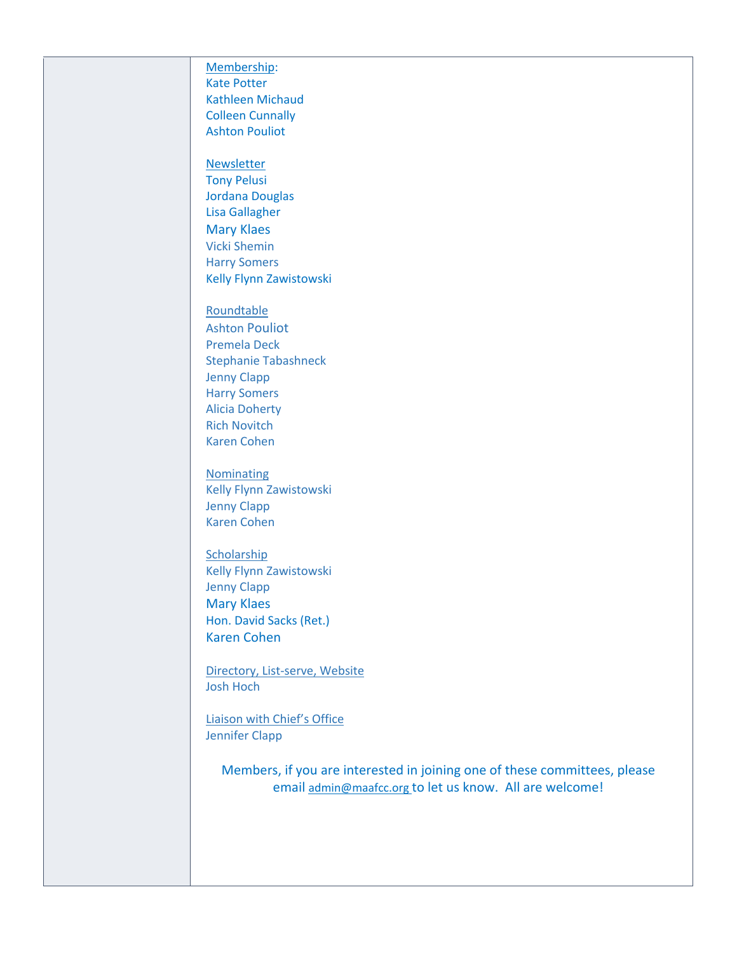Membership: Kate Potter Kathleen Michaud Colleen Cunnally Ashton Pouliot Newsletter Tony Pelusi Jordana Douglas Lisa Gallagher Mary Klaes Vicki Shemin Harry Somers Kelly Flynn Zawistowski Roundtable Ashton Pouliot Premela Deck Stephanie Tabashneck Jenny Clapp Harry Somers Alicia Doherty Rich Novitch Karen Cohen **Nominating** Kelly Flynn Zawistowski Jenny Clapp Karen Cohen **Scholarship** Kelly Flynn Zawistowski Jenny Clapp Mary Klaes Hon. David Sacks (Ret.) Karen Cohen Directory, List-serve, Website Josh Hoch Liaison with Chief's Office Jennifer Clapp

Members, if you are interested in joining one of these committees, please email admin@maafcc.org to let us know. All are welcome!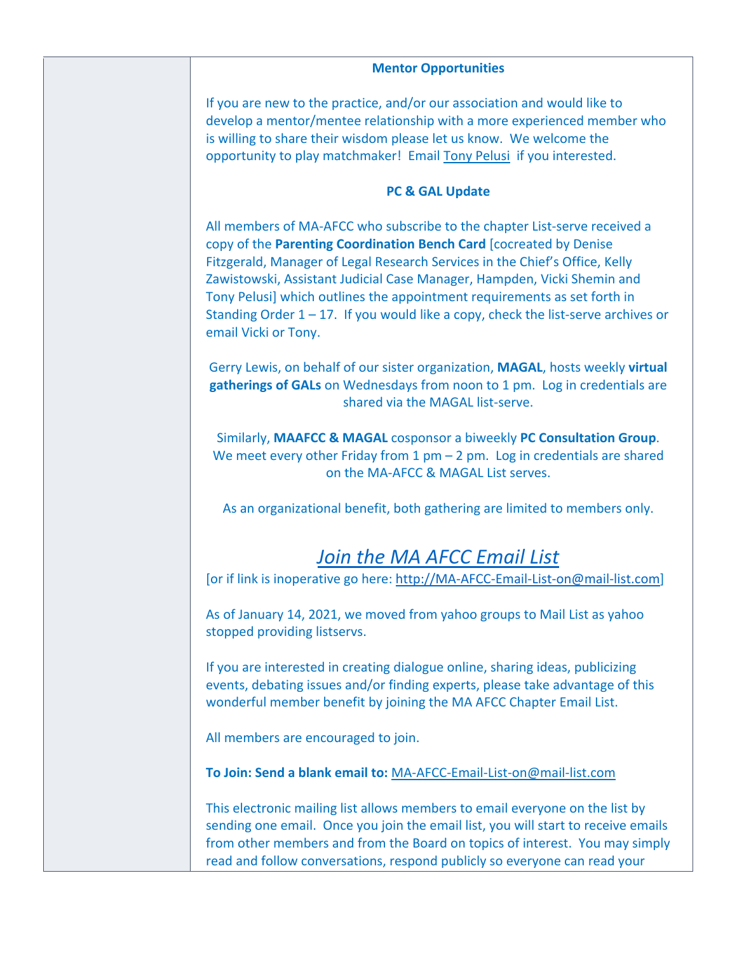| <b>Mentor Opportunities</b>                                                                                                                                                                                                                                                                                                                                                                                                                                                                           |
|-------------------------------------------------------------------------------------------------------------------------------------------------------------------------------------------------------------------------------------------------------------------------------------------------------------------------------------------------------------------------------------------------------------------------------------------------------------------------------------------------------|
| If you are new to the practice, and/or our association and would like to<br>develop a mentor/mentee relationship with a more experienced member who<br>is willing to share their wisdom please let us know. We welcome the<br>opportunity to play matchmaker! Email Tony Pelusi if you interested.                                                                                                                                                                                                    |
| PC & GAL Update                                                                                                                                                                                                                                                                                                                                                                                                                                                                                       |
| All members of MA-AFCC who subscribe to the chapter List-serve received a<br>copy of the Parenting Coordination Bench Card [cocreated by Denise<br>Fitzgerald, Manager of Legal Research Services in the Chief's Office, Kelly<br>Zawistowski, Assistant Judicial Case Manager, Hampden, Vicki Shemin and<br>Tony Pelusi] which outlines the appointment requirements as set forth in<br>Standing Order $1 - 17$ . If you would like a copy, check the list-serve archives or<br>email Vicki or Tony. |
| Gerry Lewis, on behalf of our sister organization, MAGAL, hosts weekly virtual<br>gatherings of GALs on Wednesdays from noon to 1 pm. Log in credentials are<br>shared via the MAGAL list-serve.                                                                                                                                                                                                                                                                                                      |
| Similarly, MAAFCC & MAGAL cosponsor a biweekly PC Consultation Group.<br>We meet every other Friday from 1 $pm - 2$ pm. Log in credentials are shared<br>on the MA-AFCC & MAGAL List serves.                                                                                                                                                                                                                                                                                                          |
| As an organizational benefit, both gathering are limited to members only.                                                                                                                                                                                                                                                                                                                                                                                                                             |
| Join the MA AFCC Email List<br>[or if link is inoperative go here: http://MA-AFCC-Email-List-on@mail-list.com]                                                                                                                                                                                                                                                                                                                                                                                        |
| As of January 14, 2021, we moved from yahoo groups to Mail List as yahoo<br>stopped providing listservs.                                                                                                                                                                                                                                                                                                                                                                                              |
| If you are interested in creating dialogue online, sharing ideas, publicizing<br>events, debating issues and/or finding experts, please take advantage of this<br>wonderful member benefit by joining the MA AFCC Chapter Email List.                                                                                                                                                                                                                                                                 |
| All members are encouraged to join.                                                                                                                                                                                                                                                                                                                                                                                                                                                                   |
| To Join: Send a blank email to: MA-AFCC-Email-List-on@mail-list.com                                                                                                                                                                                                                                                                                                                                                                                                                                   |
| This electronic mailing list allows members to email everyone on the list by<br>sending one email. Once you join the email list, you will start to receive emails<br>from other members and from the Board on topics of interest. You may simply<br>read and follow conversations, respond publicly so everyone can read your                                                                                                                                                                         |
|                                                                                                                                                                                                                                                                                                                                                                                                                                                                                                       |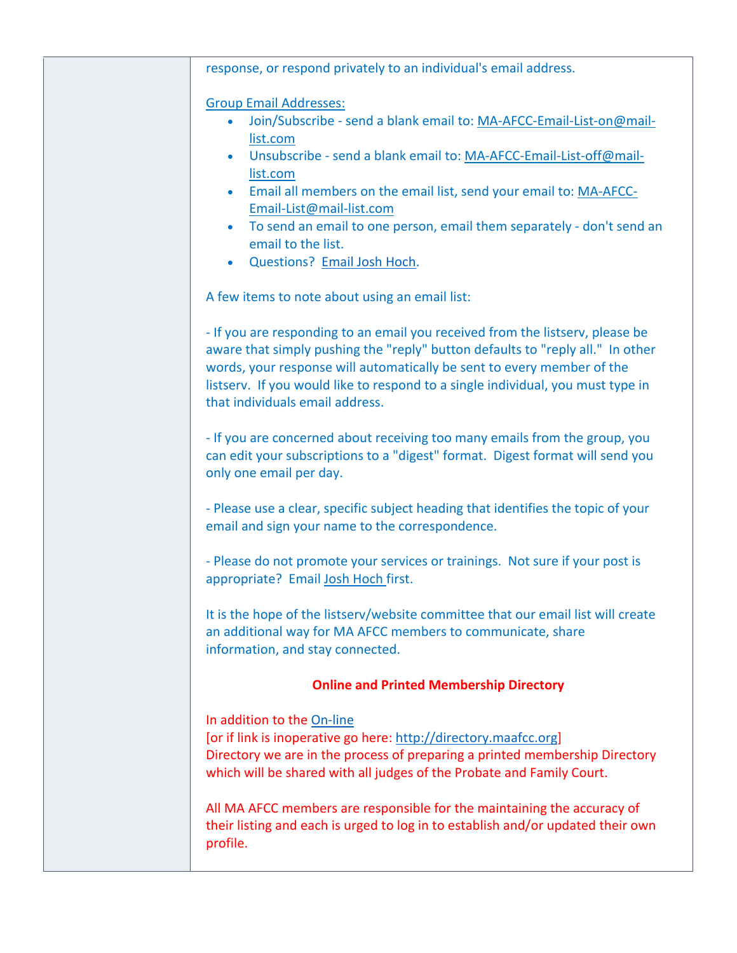| response, or respond privately to an individual's email address.                                                                                                                                                                                                                                                                                                                                                                                                                     |
|--------------------------------------------------------------------------------------------------------------------------------------------------------------------------------------------------------------------------------------------------------------------------------------------------------------------------------------------------------------------------------------------------------------------------------------------------------------------------------------|
| <b>Group Email Addresses:</b><br>Join/Subscribe - send a blank email to: MA-AFCC-Email-List-on@mail-<br>list.com<br>Unsubscribe - send a blank email to: MA-AFCC-Email-List-off@mail-<br>$\bullet$<br>list.com<br>Email all members on the email list, send your email to: MA-AFCC-<br>$\bullet$<br>Email-List@mail-list.com<br>To send an email to one person, email them separately - don't send an<br>$\bullet$<br>email to the list.<br>Questions? Email Josh Hoch.<br>$\bullet$ |
| A few items to note about using an email list:                                                                                                                                                                                                                                                                                                                                                                                                                                       |
| - If you are responding to an email you received from the listserv, please be<br>aware that simply pushing the "reply" button defaults to "reply all." In other<br>words, your response will automatically be sent to every member of the<br>listserv. If you would like to respond to a single individual, you must type in<br>that individuals email address.                                                                                                                      |
| - If you are concerned about receiving too many emails from the group, you<br>can edit your subscriptions to a "digest" format. Digest format will send you<br>only one email per day.                                                                                                                                                                                                                                                                                               |
| - Please use a clear, specific subject heading that identifies the topic of your<br>email and sign your name to the correspondence.                                                                                                                                                                                                                                                                                                                                                  |
| - Please do not promote your services or trainings. Not sure if your post is<br>appropriate? Email Josh Hoch first.                                                                                                                                                                                                                                                                                                                                                                  |
| It is the hope of the listsery/website committee that our email list will create<br>an additional way for MA AFCC members to communicate, share<br>information, and stay connected.                                                                                                                                                                                                                                                                                                  |
| <b>Online and Printed Membership Directory</b>                                                                                                                                                                                                                                                                                                                                                                                                                                       |
| In addition to the On-line<br>[or if link is inoperative go here: http://directory.maafcc.org]<br>Directory we are in the process of preparing a printed membership Directory<br>which will be shared with all judges of the Probate and Family Court.                                                                                                                                                                                                                               |
| All MA AFCC members are responsible for the maintaining the accuracy of<br>their listing and each is urged to log in to establish and/or updated their own<br>profile.                                                                                                                                                                                                                                                                                                               |
|                                                                                                                                                                                                                                                                                                                                                                                                                                                                                      |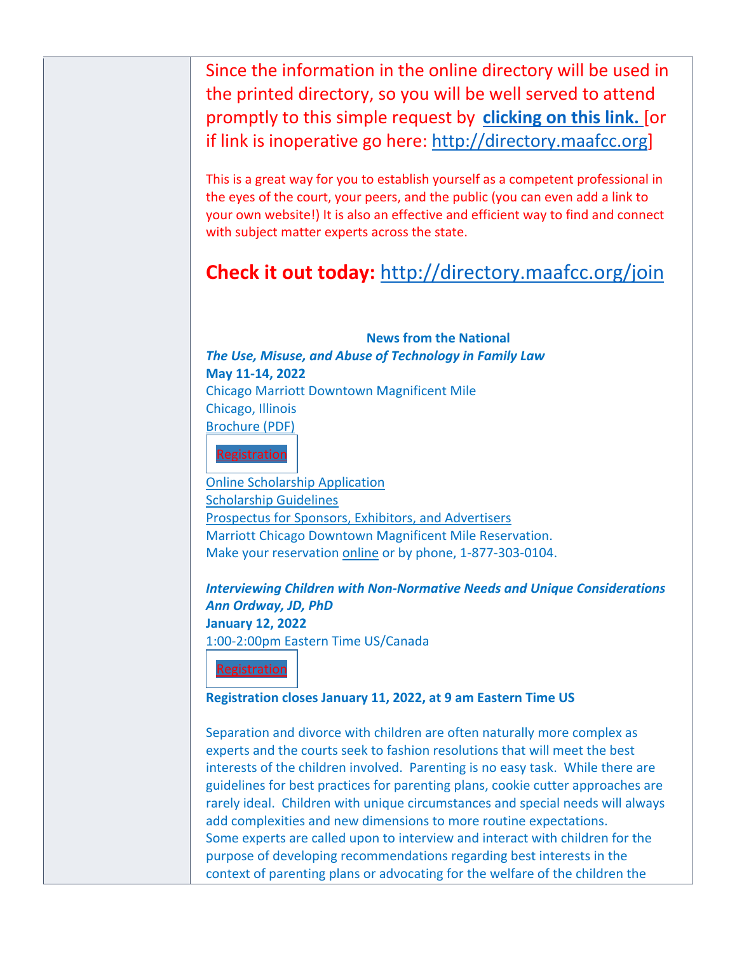Since the information in the online directory will be used in the printed directory, so you will be well served to attend promptly to this simple request by **clicking on this link.** [or if link is inoperative go here: http://directory.maafcc.org]

This is a great way for you to establish yourself as a competent professional in the eyes of the court, your peers, and the public (you can even add a link to your own website!) It is also an effective and efficient way to find and connect with subject matter experts across the state.

# **Check it out today:** http://directory.maafcc.org/join

**News from the National** *The Use, Misuse, and Abuse of Technology in Family Law* **May 11-14, 2022** Chicago Marriott Downtown Magnificent Mile Chicago, Illinois Brochure (PDF)



Online Scholarship Application Scholarship Guidelines Prospectus for Sponsors, Exhibitors, and Advertisers Marriott Chicago Downtown Magnificent Mile Reservation. Make your reservation online or by phone, 1-877-303-0104.

*Interviewing Children with Non-Normative Needs and Unique Considerations Ann Ordway, JD, PhD* **January 12, 2022** 1:00-2:00pm Eastern Time US/Canada



## **Registration closes January 11, 2022, at 9 am Eastern Time US**

Separation and divorce with children are often naturally more complex as experts and the courts seek to fashion resolutions that will meet the best interests of the children involved. Parenting is no easy task. While there are guidelines for best practices for parenting plans, cookie cutter approaches are rarely ideal. Children with unique circumstances and special needs will always add complexities and new dimensions to more routine expectations. Some experts are called upon to interview and interact with children for the purpose of developing recommendations regarding best interests in the context of parenting plans or advocating for the welfare of the children the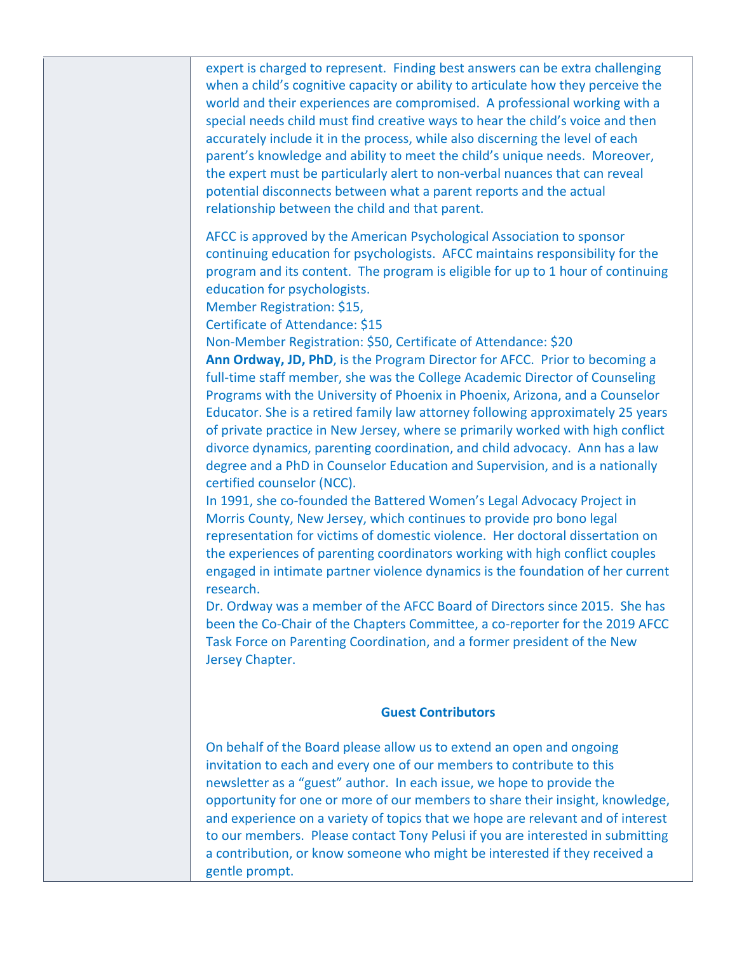expert is charged to represent. Finding best answers can be extra challenging when a child's cognitive capacity or ability to articulate how they perceive the world and their experiences are compromised. A professional working with a special needs child must find creative ways to hear the child's voice and then accurately include it in the process, while also discerning the level of each parent's knowledge and ability to meet the child's unique needs. Moreover, the expert must be particularly alert to non-verbal nuances that can reveal potential disconnects between what a parent reports and the actual relationship between the child and that parent.

AFCC is approved by the American Psychological Association to sponsor continuing education for psychologists. AFCC maintains responsibility for the program and its content. The program is eligible for up to 1 hour of continuing education for psychologists.

Member Registration: \$15,

Certificate of Attendance: \$15

Non-Member Registration: \$50, Certificate of Attendance: \$20 **Ann Ordway, JD, PhD**, is the Program Director for AFCC. Prior to becoming a full-time staff member, she was the College Academic Director of Counseling Programs with the University of Phoenix in Phoenix, Arizona, and a Counselor Educator. She is a retired family law attorney following approximately 25 years of private practice in New Jersey, where se primarily worked with high conflict divorce dynamics, parenting coordination, and child advocacy. Ann has a law degree and a PhD in Counselor Education and Supervision, and is a nationally certified counselor (NCC).

In 1991, she co-founded the Battered Women's Legal Advocacy Project in Morris County, New Jersey, which continues to provide pro bono legal representation for victims of domestic violence. Her doctoral dissertation on the experiences of parenting coordinators working with high conflict couples engaged in intimate partner violence dynamics is the foundation of her current research.

Dr. Ordway was a member of the AFCC Board of Directors since 2015. She has been the Co-Chair of the Chapters Committee, a co-reporter for the 2019 AFCC Task Force on Parenting Coordination, and a former president of the New Jersey Chapter.

#### **Guest Contributors**

On behalf of the Board please allow us to extend an open and ongoing invitation to each and every one of our members to contribute to this newsletter as a "guest" author. In each issue, we hope to provide the opportunity for one or more of our members to share their insight, knowledge, and experience on a variety of topics that we hope are relevant and of interest to our members. Please contact Tony Pelusi if you are interested in submitting a contribution, or know someone who might be interested if they received a gentle prompt.